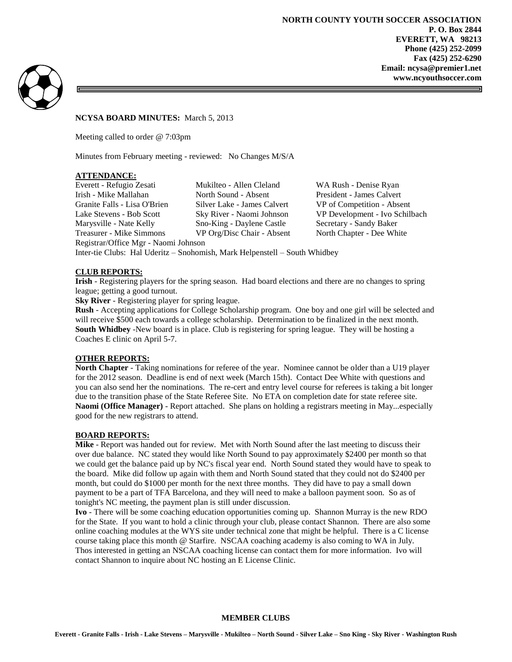51



**NCYSA BOARD MINUTES:** March 5, 2013

Meeting called to order @ 7:03pm

Minutes from February meeting - reviewed: No Changes M/S/A

# **ATTENDANCE:**

Everett - Refugio Zesati Mukilteo - Allen Cleland WA Rush - Denise Ryan Irish - Mike Mallahan North Sound - Absent President - James Calvert Granite Falls - Lisa O'Brien Silver Lake - James Calvert VP of Competition - Absent Lake Stevens - Bob Scott Sky River - Naomi Johnson VP Development - Ivo Schilbach Marysville - Nate Kelly Sno-King - Daylene Castle Secretary - Sandy Baker Treasurer - Mike Simmons VP Org/Disc Chair - Absent North Chapter - Dee White Registrar/Office Mgr - Naomi Johnson Inter-tie Clubs: Hal Uderitz – Snohomish, Mark Helpenstell – South Whidbey

### **CLUB REPORTS:**

**Irish** - Registering players for the spring season. Had board elections and there are no changes to spring league; getting a good turnout.

**Sky River** - Registering player for spring league.

**Rush** - Accepting applications for College Scholarship program. One boy and one girl will be selected and will receive \$500 each towards a college scholarship. Determination to be finalized in the next month. **South Whidbey** -New board is in place. Club is registering for spring league. They will be hosting a Coaches E clinic on April 5-7.

# **OTHER REPORTS:**

**North Chapter** - Taking nominations for referee of the year. Nominee cannot be older than a U19 player for the 2012 season. Deadline is end of next week (March 15th). Contact Dee White with questions and you can also send her the nominations. The re-cert and entry level course for referees is taking a bit longer due to the transition phase of the State Referee Site. No ETA on completion date for state referee site. **Naomi (Office Manager)** - Report attached. She plans on holding a registrars meeting in May...especially good for the new registrars to attend.

#### **BOARD REPORTS:**

**Mike** - Report was handed out for review. Met with North Sound after the last meeting to discuss their over due balance. NC stated they would like North Sound to pay approximately \$2400 per month so that we could get the balance paid up by NC's fiscal year end. North Sound stated they would have to speak to the board. Mike did follow up again with them and North Sound stated that they could not do \$2400 per month, but could do \$1000 per month for the next three months. They did have to pay a small down payment to be a part of TFA Barcelona, and they will need to make a balloon payment soon. So as of tonight's NC meeting, the payment plan is still under discussion.

**Ivo** - There will be some coaching education opportunities coming up. Shannon Murray is the new RDO for the State. If you want to hold a clinic through your club, please contact Shannon. There are also some online coaching modules at the WYS site under technical zone that might be helpful. There is a C license course taking place this month @ Starfire. NSCAA coaching academy is also coming to WA in July. Thos interested in getting an NSCAA coaching license can contact them for more information. Ivo will contact Shannon to inquire about NC hosting an E License Clinic.

#### **MEMBER CLUBS**